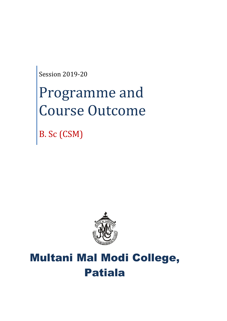Session 2019-20

# Programme and Course Outcome

B. Sc (CSM)



# Multani Mal Modi College, Patiala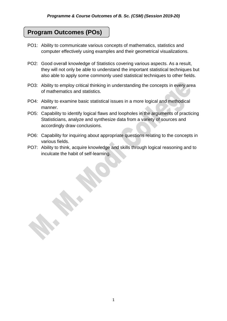# **Program Outcomes (POs)**

- PO1: Ability to communicate various concepts of mathematics, statistics and computer effectively using examples and their geometrical visualizations.
- PO2: Good overall knowledge of Statistics covering various aspects. As a result, they will not only be able to understand the important statistical techniques but also able to apply some commonly used statistical techniques to other fields.
- PO3: Ability to employ critical thinking in understanding the concepts in every area of mathematics and statistics.
- PO4: Ability to examine basic statistical issues in a more logical and methodical manner.
- PO5: Capability to identify logical flaws and loopholes in the arguments of practicing Statisticians, analyze and synthesize data from a variety of sources and accordingly draw conclusions.
- PO6: Capability for inquiring about appropriate questions relating to the concepts in various fields.
- PO7: Ability to think, acquire knowledge and skills through logical reasoning and to inculcate the habit of self-learning.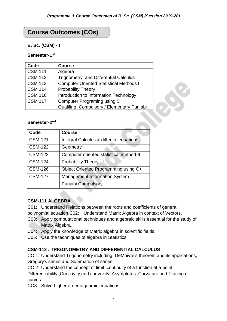# **Course Outcomes (COs)**

#### **B. Sc. (CSM) - I**

#### **Semester-1 st**

| Code           | <b>Course</b>                                  |  |
|----------------|------------------------------------------------|--|
| <b>CSM 111</b> | Algebra                                        |  |
| <b>CSM 112</b> | <b>Trignometry and Differential Calculus</b>   |  |
| <b>CSM 113</b> | <b>Computer Oriented Statistical Methods I</b> |  |
| <b>CSM 114</b> | <b>Probability Theory I</b>                    |  |
| <b>CSM 116</b> | Introduction to Information Technology         |  |
| <b>CSM 117</b> | Computer Programing using C                    |  |
|                | Qualifing Compulsory / Elementary Punjabi      |  |
|                |                                                |  |
| Semester-2nd   |                                                |  |
| Code           | Course                                         |  |

#### Semester-2<sup>nd</sup>

| Code           | <b>Course</b>                            |
|----------------|------------------------------------------|
| <b>CSM-121</b> | Integral Calculus & differtial equations |
| <b>CSM-122</b> | Geometry                                 |
| <b>CSM-123</b> | Computer oriented statistical method-II  |
| <b>CSM-124</b> | Probability Theory -II                   |
| <b>CSM-126</b> | Object Oriented Programming using C++    |
| <b>CSM-127</b> | <b>Management Information System</b>     |
|                | <b>Punjabi Compulsory</b>                |

#### **CSM-111 ALGEBRA**

C01: Understand Relations between the roots and coefficients of general

polynomial equation C02: Understand Matrix Algebra in context of Vectors.

- C03: Apply computational techniques and algebraic skills essential for the study of Matrix Algebra.
- C04: Apply the knowledge of Matrix algebra in scientific fields.
- C05: Use the techniques of algebra in Statistics

#### **CSM-112 : TRIGONOMETRY AND DIFFERENTIAL CALCULUS**

CO 1: Understand Trigonometry including DeMoivre's theorem and its applications, Gregory's series and Summation of series.

CO 2: Understand the concept of limit, continuity of a function at a point,

Differentiability ,Concavity and convexity, Asymptotes ,Curvature and Tracing of curves

CO3: Solve higher order algebraic equations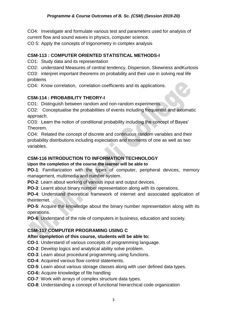CO4: Investigate and formulate various test and parameters used for analysis of current flow and sound waves in physics, computer science.

CO 5: Apply the concepts of trigonometry in complex analysis

#### **CSM-113 : COMPUTER ORIENTED STATISTICAL METHODS-I**

CO1: Study data and its representation

CO2: understand Measures of central tendency, Dispersion, Skewness andKurtosis

CO3: interpret important theorems on probability and their use in solving real life problems

CO4: Know correlation, correlation coefficients and its applications.

#### **CSM-114 : PROBABILITY THEORY-I**

CO1: Distinguish between random and non-random experiments.

CO2: Conceptualise the probabilities of events including frequentist and axiomatic approach.

CO3: Learn the notion of conditional probability including the concept of Bayes' Theorem.

CO4: Related the concept of discrete and continuous random variables and their probability distributions including expectation and moments of one as well as two variables.

#### **CSM-116 INTRODUCTION TO INFORMATION TECHNOLOGY**

#### **Upon the completion of the course the learner will be able to**

**PO-1**: Familiarization with the types of computer, peripheral devices, memory management, multimedia and number system.

**PO-2**: Learn about working of various input and output devices.

**PO-3**: Learnt about binary number representation along with its operations.

**PO-4**: Understand theoretical framework of internet and associated application of theinternet.

**PO-5**: Acquire the knowledge about the binary number representation along with its operations.

**PO-6**: Understand of the role of computers in business, education and society.

#### **CSM-117 COMPUTER PROGRAMING USING C**

#### **After completion of this course, students will be able to:**

**CO-1**: Understand of various concepts of programming language.

- **CO-2**: Develop logics and analytical ability solve problem.
- **CO-3**: Learn about procedural programming using functions.
- **CO-4**: Acquired various flow control statements.
- **CO-5**: Learn about various storage classes along with user defined data types.
- **CO-6:** Acquire knowledge of file handling
- **CO-7**: Work with arrays of complex structure data types.
- **CO-8**: Understanding a concept of functional hierarchical code organization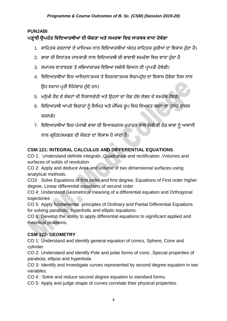#### **PUNJABI**

## **ਪੜ੍ਹਾਈ ਉਪਰੰ ਤ ਵਿਵਿਆਰਥੀਆਂਿੀ ਯੋਗਤਾ ਅਤੇਸਮਰਥਾ ਵਿਚ ਸਾਰਥਕ ਿਾਧਾ ਹੋਿੇਗਾ**

- 1. ਸਾਹਿਤਕ ਰਚਨਾਵਾਂ ਦੇ ਮਾਧਿਅਮ ਨਾਲ ਵਿਦਿਆਰਥੀਆਂ ਅੰਦਰ ਸਾਹਿਤਕ ਰਚੀਆਂ ਦਾ ਵਿਕਾਸ ਹੰਦਾ ਹੈ।
- 2. ਭਾਸ਼ਾ ਦੀ ਸਿਧਾਂਤਕ ਜਾਣਕਾਰੀ ਨਾਲ ਵਿਦਿਆਰਥੀ ਦੀ ਭਾਸ਼ਾਈ ਸਮਰੱਥਾ ਵਿਚ ਵਾਧਾ ਹੰਦਾ ਹੈ
- 3. ਸਮਾਜਕ ਵਾਤਾਵਰਣ ਤੇ ਸਭਿਆਚਾਰਕ ਵਿਸ਼ਿਆਂ ਸਬੰਧੀ ਗਿਆਨ ਦੀ ਪ੍ਰਾਪਤੀ ਹੋਵੇਗੀ।
- 4. ਵਿਦਿਆਰਥੀਆਂ ਵਿਚ ਆਲੋਚਨਾਤਮਕ ਤੇ ਸਿਰਜਣਾਤਮਕ ਸੋਚ/ਪਹੰਚ ਦਾ ਵਿਕਾਸ ਹੋਵੇਗਾ ਜਿਸ ਨਾਲ ਉਹ ਸਮਾਜ ਪ੍ਰਤੀ ਜਿੰਮੇਵਾਰ ਹੁੰਦੇ ਹਨ।
- 5. ਮਨੁੱਖੀ ਹੋਂਦ ਦੇ ਸੰਕਟਾਂ ਦੀ ਨਿਸ਼ਾਨਦੇਹੀ ਅਤੇ ਉਹਨਾਂ ਦਾ ਯੋਗ ਹੱਲ ਲੱਭਣ ਦੇ ਸਮਰੱਥ ਹੋਣਗੇ।
- 6. ਵਿਦਿਆਰਥੀ ਆਪਣੇ ਵਿਚਾਰਾਂ ਨੂੰ ਲਿਖਿਤ ਅਤੇ ਮੌਖਿਕ ਰੂਪ ਵਿਚ ਵਿਅਕਤ ਕਰਨ ਦਾ ਹੁਨਰ ਹਾਸਲ ਕਰਨਗੇ।
- 7. ਵਿਦਿਆਰਥੀਆਂ ਵਿਚ ਪੰਜਾਬੀ ਭਾਸ਼ਾ ਦੀ ਵਿਆਕਰਨਕ ਮੁਹਾਰਤ ਨਾਲ ਕਿਸੇ ਵੀ ਹੋਰ ਭਾਸ਼ਾ ਨੂੰ ਆਸਾਨੀ

ਨਾਲ ਗਹਿਣ/ਸਮਝਣ ਦੀ ਯੋਗਤਾ ਦਾ ਵਿਕਾਸ ਹੋ ਜਾਂਦਾ ਹੈ।

#### **CSM 121: INTEGRAL CALCULUS AND DIFFERENTIAL EQUATIONS**

CO 1: Understand definite integrals ,Quadrature and rectification ,Volumes and surfaces of solids of revolution

CO 2: Apply and deduce Area and volume of two dimensional surfaces using analytical methods.

CO3: Solve Equations of first order and first degree, Equations of First order higher degree, Linear differential equations of second order

CO 4: Understand Geometrical meaning of a differential equation and Orthogonal trajectories

CO 5: Apply fundamental principles of Ordinary and Partial Differential Equations for solving parabolic, hyperbolic and elliptic equations.

CO 6: Develop the ability to apply differential equations to significant applied and theortical problems.

#### **CSM 122- GEOMETRY**

CO 1: Understand and identify general equation of conics, Sphere, Cone and cylinder.

CO 2: Understand and identify Pole and polar forms of conic ,Special properties of parabola, ellipse and hyperbola

CO 3: Identify and Investigate curves represented by second degree equation in two variables.

CO 4 : Solve and reduce second degree equation to standard forms.

CO 5: Apply and judge shape of curves correlate their physical properties.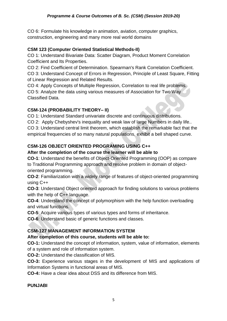CO 6: Formulate his knowledge in animation, aviation, computer graphics, construction, engineering and many more real world domains

#### **CSM 123 (Computer Oriented Statistical Methods-II)**

CO 1: Understand Bivariate Data: Scatter Diagram, Product Moment Correlation Coefficient and Its Properties.

CO 2: Find Coefficient of Determination. Spearman's Rank Correlation Coefficient. CO 3: Understand Concept of Errors in Regression, Principle of Least Square, Fitting of Linear Regression and Related Results.

CO 4: Apply Concepts of Multiple Regression, Correlation to real life problems.

CO 5: Analyze the data using various measures of Association for Two Way Classified Data.

#### **CSM-124 (PROBABILITY THEORY– II)**

CO 1: Understand Standard univariate discrete and continuous distributions.

CO 2: Apply Chebyshev's inequality and weak law of large Numbers in daily life.. CO 3: Understand central limit theorem, which establish the remarkable fact that the empirical frequencies of so many natural populations, exhibit a bell shaped curve.

#### **CSM-126 OBJECT ORIENTED PROGRAMING USING C++**

#### **After the completion of the course the learner will be able to**

**CO-1**: Understand the benefits of Object-Oriented Programming (OOP) as compare to Traditional Programming approach and resolve problem in domain of objectoriented programming.

**CO-2**: Familiarization with a widely range of features of object-oriented programming using C++

**CO-3**: Understand Object oriented approach for finding solutions to various problems with the help of C++ language.

**CO-4**: Understand the concept of polymorphism with the help function overloading and virtual functions.

**CO-5**: Acquire various types of various types and forms of inheritance.

**CO-6**: Understand basic of generic functions and classes.

#### **CSM-127 MANAGEMENT INFORMATION SYSTEM**

#### **After completion of this course, students will be able to:**

**CO-1:** Understand the concept of information, system, value of information, elements of a system and role of information system.

**CO-2:** Understand the classification of MIS.

**CO-3:** Experience various stages in the development of MIS and applications of Information Systems in functional areas of MIS.

**CO-4:** Have a clear idea about DSS and its difference from MIS.

#### **PUNJABI**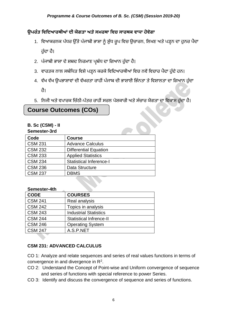#### **ਉਪਰੰ ਤ ਵਿਵਿਆਰਥੀਆਂਿੀ ਯੋਗਤਾ ਅਤੇਸਮਰਥਾ ਵਿਚ ਸਾਰਥਕ ਿਾਧਾ ਹੋਿੇਗਾ**

- 1. ਵਿਆਕਰਨਕ ਪੱਧਰ ਉੱਤੇ ਪੰਜਾਬੀ ਭਾਸ਼ਾ ਨੂੰ ਸ਼ੁੱਧ ਰੂਪ ਵਿਚ ਉਚਾਰਨ, ਲਿਖਣ ਅਤੇ ਪੜ੍ਹਨ ਦਾ ਹੁਨਰ ਪੈਦਾ ਹੰਦਾ ਹੈ।
- 2. ਪੰਜਾਬੀ ਭਾਸ਼ਾ ਦੇ ਸ਼ਬਦ ਨਿਰਮਾਣ ਪ੍ਰਬੰਧ ਦਾ ਗਿਆਨ ਹੰਦਾ ਹੈ।
- 3. ਵਾਰਤਕ ਨਾਲ ਸਬੰਧਿਤ ਵਿਸ਼ੇ ਪੜ੍ਹਨ ਕਰਕੇ ਵਿਦਿਆਰਥੀਆਂ ਵਿਚ ਨਵੇਂ ਵਿਚਾਰ ਪੈਦਾ ਹੁੰਦੇ ਹਨ।
- 4. ਵੱਖ ਵੱਖ ਉਪਭਾਸ਼ਾਵਾਂ ਦੀ ਵੱਖਰਤਾ ਰਾਹੀਂ ਪੰਜਾਬ ਦੀ ਭਾਸ਼ਾਈ ਭਿੰਨਤਾ ਤੇ ਵਿਸ਼ਾਲਤਾ ਦਾ ਗਿਆਨ ਹੁੰਦਾ

ਿੈ।

5. ਨਿਜੀ ਅਤੇ ਵਪਾਰਕ ਚਿੱਠੀ-ਪੱਤਰ ਰਾਹੀਂ ਸਰਲ ਪੇਸ਼ਕਾਰੀ ਅਤੇ ਸੰਚਾਰ ਯੋਗਤਾ ਦਾ ਵਿਕਾਸ ਹੁੰਦਾ ਹੈ।

# **Course Outcomes (COs)**

#### **B. Sc (CSM) - II**

#### **Semester-3rd**

| Code           | <b>Course</b>                  |
|----------------|--------------------------------|
| <b>CSM 231</b> | <b>Advance Calculus</b>        |
| <b>CSM 232</b> | <b>Differential Equation</b>   |
| <b>CSM 233</b> | <b>Applied Statistics</b>      |
| <b>CSM 234</b> | <b>Statistical Inference-I</b> |
| <b>CSM 236</b> | Data Structure                 |
| <b>CSM 237</b> | <b>DBMS</b>                    |
|                |                                |

#### **Semester-4th**

| <b>CODE</b>    | <b>COURSES</b>                 |
|----------------|--------------------------------|
| <b>CSM 241</b> | Real analysis                  |
| <b>CSM 242</b> | Topics in analysis             |
| <b>CSM 243</b> | <b>Industrial Statistics</b>   |
| <b>CSM 244</b> | <b>Statistical Infrence-II</b> |
| <b>CSM 246</b> | <b>Operating System</b>        |
| <b>CSM 247</b> | A.S.P.NET                      |
|                |                                |

#### **CSM 231: ADVANCED CALCULUS**

CO 1: Analyze and relate sequences and series of real values functions in terms of convergence in and divergence in  $\mathsf{R}^2$ .

- CO 2: Understand the Concept of Point-wise and Uniform convergence of sequence and series of functions with special reference to power Series.
- CO 3: Identify and discuss the convergence of sequence and series of functions.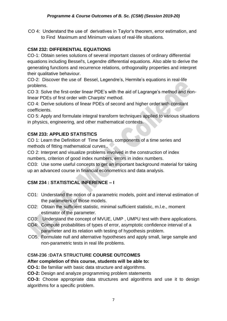CO 4: Understand the use of derivatives in Taylor's theorem, error estimation, and to Find Maximum and Minimum values of real-life situations.

#### **CSM 232: DIFFERENTIAL EQUATIONS**

CO-1: Obtain series solutions of several important classes of ordinary differential equations including Bessel's, Legendre differential equations. Also able to derive the generating functions and recurrence relations, orthogonality properties and interpret their qualitative behaviour.

CO-2: Discover the use of Bessel, Legendre's, Hermite's equations in real-life problems.

CO 3: Solve the first-order linear PDE's with the aid of Lagrange's method and nonlinear PDEs of first order with Charpits' method.

CO 4: Derive solutions of linear PDEs of second and higher order with constant coefficients.

CO 5: Apply and formulate integral transform techniques applied to various situations in physics, engineering, and other mathematical contexts.

#### **CSM 233: APPLIED STATISTICS**

CO 1: Learn the Definition of Time Series, components of a time series and methods of fitting mathematical curves..

CO 2: Interpret and visualize problems involved in the construction of index numbers, criterion of good index numbers, errors in index numbers.

CO3: Use some useful concepts to get an important background material for taking up an advanced course in financial econometrics and data analysis.

#### **CSM 234 : STATISTICAL INFERENCE – I**

- CO1: Understand the notion of a parametric models, point and interval estimation of the parameters of those models.
- CO2: Obtain the sufficient statistic, minimal sufficient statistic, m.l.e., moment estimator of the parameter.
- CO3: Understand the concept of MVUE, UMP , UMPU test with there applications.
- CO4: Compute probabilities of types of error, asymptotic confidence interval of a parameter and its relation with testing of hypothesis problem.
- CO5: Formulate null and alternative hypotheses and apply small, large sample and non-parametric tests in real life problems.

#### **CSM-236 :DATA STRUCTURE COURSE OUTCOMES**

#### **After completion of this course, students will be able to:**

**CO-1:** Be familiar with basic data structure and algorithms.

**CO-2:** Design and analyze programming problem statements

**CO-3:** Choose appropriate data structures and algorithms and use it to design algorithms for a specific problem.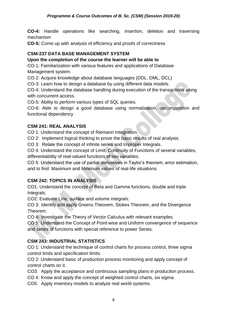**CO-4:** Handle operations like searching, insertion, deletion and traversing mechanism

**CO-5:** Come up with analysis of efficiency and proofs of correctness

#### **CSM-237 DATA BASE MANAGEMENT SYSTEM**

#### **Upon the completion of the course the learner will be able to**

CO-1: Familiarization with various features and applications of Database Management system.

CO-2: Acquire knowledge about database languages (DDL, DML, DCL)

CO-3: Learn how to design a database by using different data models.

CO-4: Understand the database handling during execution of the transactions along with concurrent access.

CO-5: Ability to perform various types of SQL queries.

CO-6: Able to design a good database using normalization, decomposition and functional dependency

#### **CSM 241: REAL ANALYSIS**

CO 1: Understand the concept of Riemann Integration.

CO 2: Implement logical thinking to prove the basic results of real analysis.

CO 3: Relate the concept of infinite series and Improper Integrals.

CO 4: Understand the concept of Limit, Continuity of Functions of several variables, differentiability of real-valued functions of two variables.

CO 5: Understand the use of partial derivatives in Taylor's theorem, error estimation, and to find Maximum and Minimum values of real-life situations.

#### **CSM 242: TOPICS IN ANALYSIS**

CO1: Understand the concept of Beta and Gamma functions, double and triple Integrals.

CO2: Evaluate Line, surface and volume integrals.

CO 3: Identify and apply Greens Theorem, Stokes Theorem, and the Divergence Theorem.

CO 4: Investigate the Theory of Vector Calculus with relevant examples.

CO 5: Understand the Concept of Point-wise and Uniform convergence of sequence and series of functions with special reference to power Series.

#### **CSM 243: INDUSTRIAL STATISTICS**

CO 1: Understand the technique of control charts for process control, three sigma control limits and specification limits.

CO 2: Understand basic of production process monitoring and apply concept of control charts on it.

CO3: Apply the acceptance and continuous sampling plans in production process.

CO 4: Know and apply the concept of weighted control charts, six sigma.

CO5: Apply inventory models to analyze real world systems.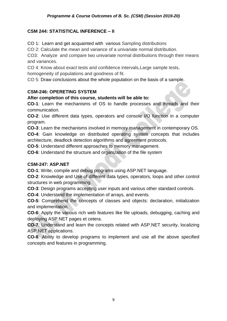#### *Programme & Course Outcomes of B. Sc. (CSM) (Session 2019-20)*

#### **CSM 244: STATISTICAL INFERENCE – II**

CO 1: Learn and get acquainted with various Sampling distributions

CO 2: Calculate the mean and variance of a univariate normal distribution.

CO3: Analyze and compare two univariate normal distributions through their means and variances.

CO 4: Know about exact tests and confidence intervals*,*Large sample tests, homogeneity of populations and goodness of fit.

CO 5: Draw conclusions about the whole population on the basis of a sample.

#### **CSM-246: OPERETING SYSTEM**

#### **After completion of this course, students will be able to:**

**CO-1**: Learn the mechanisms of OS to handle processes and threads and their communication.

**CO-2**: Use different data types, operators and console I/O function in a computer program.

**CO-3**: Learn the mechanisms involved in memory management in contemporary OS.

**CO-4**: Gain knowledge on distributed operating system concepts that includes architecture, deadlock detection algorithms and agreement protocols.

**CO-5**: Understand different approaches to memory management.

**CO-6**: Understand the structure and organization of the file system

#### **CSM-247: ASP.NET**

**CO-1**: Write, compile and debug programs using ASP.NET language.

**CO-2**: Knowledge and Use of different data types, operators, loops and other control structures in web programming.

**CO-3**: Design programs accepting user inputs and various other standard controls.

**CO-4**: Understand the implementation of arrays, and events.

**CO-5**: Comprehend the concepts of classes and objects: declaration, initialization and implementation.

**CO-6**: Apply the various rich web features like file uploads, debugging, caching and deploying ASP.NET pages et cetera.

**CO-7**: Understand and learn the concepts related with ASP.NET security, localizing ASP.NET applications.

**CO-8**: Ability to develop programs to implement and use all the above specified concepts and features in programming.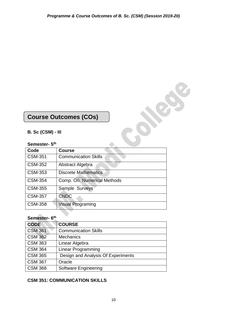# **Course Outcomes (COs)**

#### **B. Sc (CSM) - III**

#### **Semester- 5 th**

| <b>Course Outcomes (COs)</b> |                              |  |
|------------------------------|------------------------------|--|
| $B.$ Sc (CSM) - III          |                              |  |
| Semester- 5 <sup>th</sup>    |                              |  |
| Code                         | <b>Course</b>                |  |
| <b>CSM-351</b>               | <b>Communication Skills</b>  |  |
| <b>CSM-352</b>               | Abstract Algebra             |  |
| <b>CSM-353</b>               | <b>Discrete Mathematics</b>  |  |
| <b>CSM-354</b>               | Comp. Ori. Numerical Methods |  |
| <b>CSM-355</b>               | Sample Surveys               |  |
| <b>CSM-357</b>               | <b>CNDC</b>                  |  |
| <b>CSM-358</b>               | <b>Visual Programing</b>     |  |

#### **Semester- 6 th**

| <b>CODE</b>    | <b>COURSE</b>                      |
|----------------|------------------------------------|
| <b>CSM 361</b> | <b>Communication Skills</b>        |
| <b>CSM 362</b> | <b>Mechanics</b>                   |
| <b>CSM 363</b> | Linear Algebra                     |
| <b>CSM 364</b> | <b>Linear Programming</b>          |
| <b>CSM 365</b> | Design and Analysis Of Experiments |
| <b>CSM 367</b> | Oracle                             |
| <b>CSM 368</b> | <b>Software Engineering</b>        |

#### **CSM 351: COMMUNICATION SKILLS**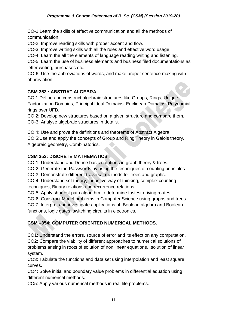CO-1:Learn the skills of effective communication and all the methods of communication.

CO-2: Improve reading skills with proper accent and flow.

CO-3: Improve writing skills with all the rules and effective word usage.

CO-4: Learn the all the elements of language reading writing and listening.

CO-5: Learn the use of business elements and business filed documentations as letter writing, purchases etc.

CO-6: Use the abbreviations of words, and make proper sentence making with abbreviation.

#### **CSM 352 : ABSTRAT ALGEBRA**

CO 1:Define and construct algebraic structures like Groups, Rings, Unique Factorization Domains, Principal Ideal Domains, Euclidean Domains, Polynomial rings over UFD.

CO 2: Develop new structures based on a given structure and compare them. CO-3: Analyse algebraic structures in details.

CO 4: Use and prove the definitions and theorems of Abstract Algebra.

CO 5:Use and apply the concepts of Group and Ring Theory in Galois theory, Algebraic geometry, Combinatorics.

#### **CSM 353: DISCRETE MATHEMATICS**

CO-1: Understand and Define basic notations in graph theory & trees.

CO-2: Generate the Passwords by using the techniques of counting principles

CO-3: Demonstrate different traversal methods for trees and graphs.

CO-4: Understand set theory, inductive way of thinking, complex counting techniques, Binary relations and recurrence relations.

CO-5: Apply shortest path algorithm to determine fastest driving routes.

CO-6: Construct Model problems in Computer Science using graphs and trees

CO 7: Interpret and investigate applications of Boolean algebra and Boolean functions, logic gates, switching circuits in electronics.

#### **CSM –354: COMPUTER ORIENTED NUMERICAL METHODS.**

CO1: Understand the errors, source of error and its effect on any computation. CO2: Compare the viability of different approaches to numerical solutions of problems arising in roots of solution of non linear equations, ,solution of linear system.

CO3: Tabulate the functions and data set using interpolation and least square curves.

CO4: Solve initial and boundary value problems in differential equation using different numerical methods.

CO5: Apply various numerical methods in real life problems.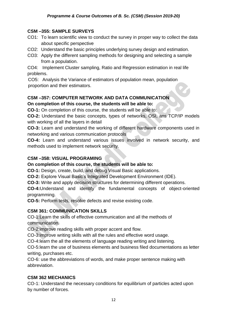#### **CSM –355: SAMPLE SURVEYS**

- CO1: To learn scientific view to conduct the survey in proper way to collect the data about specific perspective
- CO2: Understand the basic principles underlying survey design and estimation.
- CO3: Apply the different sampling methods for designing and selecting a sample from a population.

CO4: Implement Cluster sampling, Ratio and Regression estimation in real life problems.

CO5: Analysis the Variance of estimators of population mean, population proportion and their estimators.

#### **CSM –357: COMPUTER NETWORK AND DATA COMMUNICATION On completion of this course, the students will be able to:**

**CO-1:** On completion of this course, the students will be able to:

**CO-2:** Understand the basic concepts, types of networks, OSI, ans TCP/IP models with working of all the layers in detail

**CO-3:** Learn and understand the working of different hardware components used in networking and various communication protocols

**CO-4:** Learn and understand various issues involved in network security, and methods used to implement network security.

#### **CSM –358: VISUAL PROGRAMING**

**On completion of this course, the students will be able to:**

**CO-1:** Design, create, build, and debug Visual Basic applications.

**CO-2:** Explore Visual Basic's Integrated Development Environment (IDE).

**CO-3:** Write and apply decision structures for determining different operations.

**CO-4:**Understand and identify the fundamental concepts of object-oriented programming.

**CO-5:** Perform tests, resolve defects and revise existing code.

#### **CSM 361: COMMUNICATION SKILLS**

CO-1:Learn the skills of effective communication and all the methods of communication.

CO-2:improve reading skills with proper accent and flow.

CO-3:improve writing skills with all the rules and effective word usage.

CO-4:learn the all the elements of language reading writing and listening.

CO-5:learn the use of business elements and business filed documentations as letter writing, purchases etc.

CO-6: use the abbreviations of words, and make proper sentence making with abbreviation.

#### **CSM 362 MECHANICS**

CO-1: Understand the necessary conditions for equilibrium of particles acted upon by number of forces.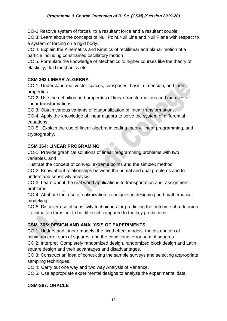CO-2:Resolve system of forces to a resultant force and a resultant couple.

CO 3: Learn about the concepts of Null Point,Null Line and Null Plane with respect to a system of forcing on a rigid body.

CO 4: Explain the Kinematics and Kinetics of rectilinear and planar motion of a particle including constrained oscillatory motion .

CO 5: Formulate the knowledge of Mechanics to higher courses like the theory of elasticity, fluid mechanics etc.

#### **CSM 363 LINEAR ALGEBRA**

CO-1: Understand real vector spaces, subspaces, basis, dimension, and their properties

CO-2: Use the definition and properties of linear transformations and matrices of linear transformations.

CO 3: Obtain various variants of diagonalization of linear transformations.

CO-4: Apply the knowledge of linear algebra to solve the system of differential equations.

CO-5: Explain the use of linear algebra in coding theory, linear programming, and cryptography.

#### **CSM 364: LINEAR PROGRAMING**

CO-1: Provide graphical solutions of linear programming problems with two variables, and

illustrate the concept of convex, extreme points and the simplex method CO-2: Know about relationships between the primal and dual problems and to understand sensitivity analysis.

CO-3: Learn about the real world applications to transportation and assignment problems

CO-4: Attribute the use of optimization techniques in designing and mathematical modeking.

CO-5: Discover use of sensitivity techniques for predicting the outcome of a decision if a situation turns out to be different compared to the key predictions.

## **CSM 365: DESIGN AND ANALYSIS OF EXPERIMENTS**

CO 1: Understand Linear models, the fixed effect models, the distribution of minimum error sum of squares, and the conditional error sum of squares.

CO 2: Interpret Completely randomized design, randomized block design and Latin square design and their advantages and disadvantages.

CO 3: Construct an idea of conducting the sample surveys and selecting appropriate sampling techniques.

CO 4: Carry out one way and two way Analysis of Variance,

CO 5: Use appropriate experimental designs to analyze the experimental data.

#### **CSM-367: ORACLE**